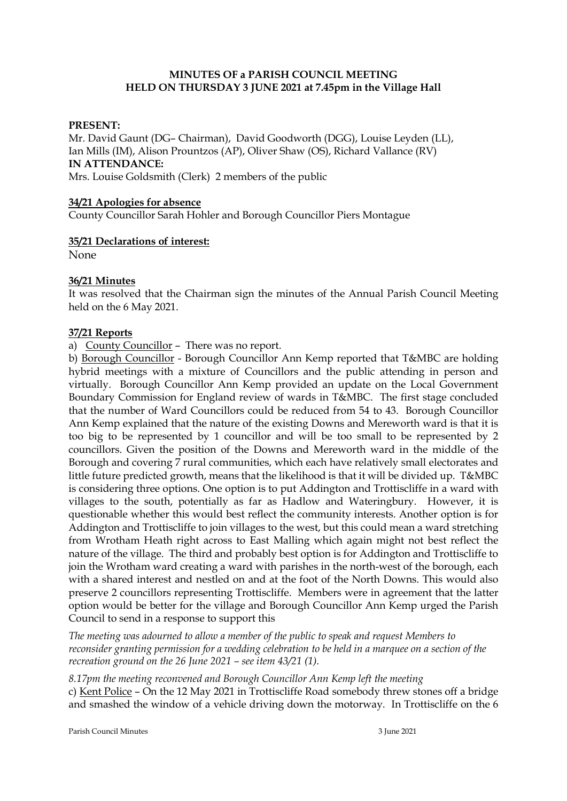# **MINUTES OF a PARISH COUNCIL MEETING HELD ON THURSDAY 3 JUNE 2021 at 7.45pm in the Village Hall**

### **PRESENT:**

Mr. David Gaunt (DG– Chairman), David Goodworth (DGG), Louise Leyden (LL), Ian Mills (IM), Alison Prountzos (AP), Oliver Shaw (OS), Richard Vallance (RV) **IN ATTENDANCE:**  Mrs. Louise Goldsmith (Clerk) 2 members of the public

#### **34/21 Apologies for absence**

County Councillor Sarah Hohler and Borough Councillor Piers Montague

#### **35/21 Declarations of interest:**

None

### **36/21 Minutes**

It was resolved that the Chairman sign the minutes of the Annual Parish Council Meeting held on the 6 May 2021.

### **37/21 Reports**

a) County Councillor – There was no report.

b) Borough Councillor - Borough Councillor Ann Kemp reported that T&MBC are holding hybrid meetings with a mixture of Councillors and the public attending in person and virtually. Borough Councillor Ann Kemp provided an update on the Local Government Boundary Commission for England review of wards in T&MBC. The first stage concluded that the number of Ward Councillors could be reduced from 54 to 43. Borough Councillor Ann Kemp explained that the nature of the existing Downs and Mereworth ward is that it is too big to be represented by 1 councillor and will be too small to be represented by 2 councillors. Given the position of the Downs and Mereworth ward in the middle of the Borough and covering 7 rural communities, which each have relatively small electorates and little future predicted growth, means that the likelihood is that it will be divided up. T&MBC is considering three options. One option is to put Addington and Trottiscliffe in a ward with villages to the south, potentially as far as Hadlow and Wateringbury. However, it is questionable whether this would best reflect the community interests. Another option is for Addington and Trottiscliffe to join villages to the west, but this could mean a ward stretching from Wrotham Heath right across to East Malling which again might not best reflect the nature of the village. The third and probably best option is for Addington and Trottiscliffe to join the Wrotham ward creating a ward with parishes in the north-west of the borough, each with a shared interest and nestled on and at the foot of the North Downs. This would also preserve 2 councillors representing Trottiscliffe. Members were in agreement that the latter option would be better for the village and Borough Councillor Ann Kemp urged the Parish Council to send in a response to support this

*The meeting was adourned to allow a member of the public to speak and request Members to reconsider granting permission for a wedding celebration to be held in a marquee on a section of the recreation ground on the 26 June 2021 – see item 43/21 (1).* 

*8.17pm the meeting reconvened and Borough Councillor Ann Kemp left the meeting* c) Kent Police – On the 12 May 2021 in Trottiscliffe Road somebody threw stones off a bridge and smashed the window of a vehicle driving down the motorway. In Trottiscliffe on the 6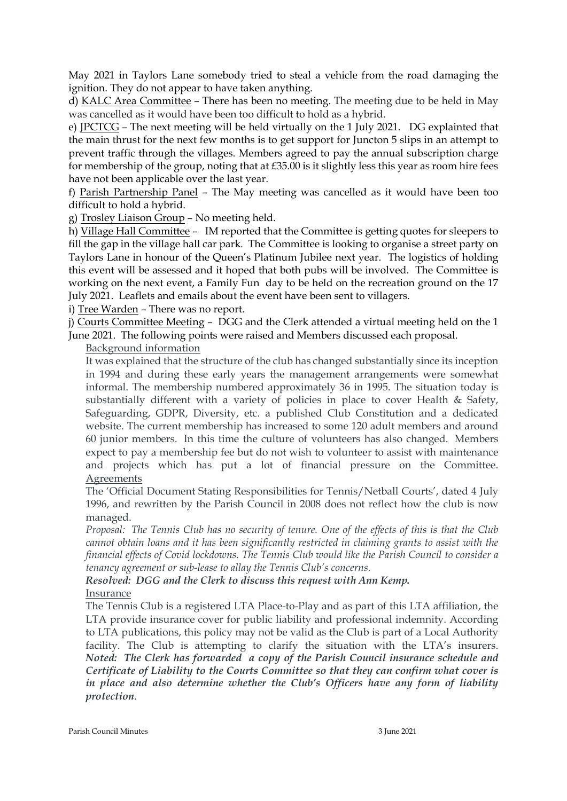May 2021 in Taylors Lane somebody tried to steal a vehicle from the road damaging the ignition. They do not appear to have taken anything.

d) KALC Area Committee – There has been no meeting. The meeting due to be held in May was cancelled as it would have been too difficult to hold as a hybrid.

e) JPCTCG – The next meeting will be held virtually on the 1 July 2021. DG explainted that the main thrust for the next few months is to get support for Juncton 5 slips in an attempt to prevent traffic through the villages. Members agreed to pay the annual subscription charge for membership of the group, noting that at £35.00 is it slightly less this year as room hire fees have not been applicable over the last year.

f) Parish Partnership Panel – The May meeting was cancelled as it would have been too difficult to hold a hybrid.

g) Trosley Liaison Group – No meeting held.

h) Village Hall Committee – IM reported that the Committee is getting quotes for sleepers to fill the gap in the village hall car park. The Committee is looking to organise a street party on Taylors Lane in honour of the Queen's Platinum Jubilee next year. The logistics of holding this event will be assessed and it hoped that both pubs will be involved. The Committee is working on the next event, a Family Fun day to be held on the recreation ground on the 17 July 2021. Leaflets and emails about the event have been sent to villagers.

i) Tree Warden – There was no report.

j) Courts Committee Meeting – DGG and the Clerk attended a virtual meeting held on the 1 June 2021. The following points were raised and Members discussed each proposal.

Background information

It was explained that the structure of the club has changed substantially since its inception in 1994 and during these early years the management arrangements were somewhat informal. The membership numbered approximately 36 in 1995. The situation today is substantially different with a variety of policies in place to cover Health & Safety, Safeguarding, GDPR, Diversity, etc. a published Club Constitution and a dedicated website. The current membership has increased to some 120 adult members and around 60 junior members. In this time the culture of volunteers has also changed. Members expect to pay a membership fee but do not wish to volunteer to assist with maintenance and projects which has put a lot of financial pressure on the Committee. Agreements

The 'Official Document Stating Responsibilities for Tennis/Netball Courts', dated 4 July 1996, and rewritten by the Parish Council in 2008 does not reflect how the club is now managed.

*Proposal: The Tennis Club has no security of tenure. One of the effects of this is that the Club cannot obtain loans and it has been significantly restricted in claiming grants to assist with the financial effects of Covid lockdowns. The Tennis Club would like the Parish Council to consider a tenancy agreement or sub-lease to allay the Tennis Club's concerns.*

*Resolved: DGG and the Clerk to discuss this request with Ann Kemp.* 

Insurance

The Tennis Club is a registered LTA Place-to-Play and as part of this LTA affiliation, the LTA provide insurance cover for public liability and professional indemnity. According to LTA publications, this policy may not be valid as the Club is part of a Local Authority facility. The Club is attempting to clarify the situation with the LTA's insurers. *Noted: The Clerk has forwarded a copy of the Parish Council insurance schedule and Certificate of Liability to the Courts Committee so that they can confirm what cover is in place and also determine whether the Club's Officers have any form of liability protection*.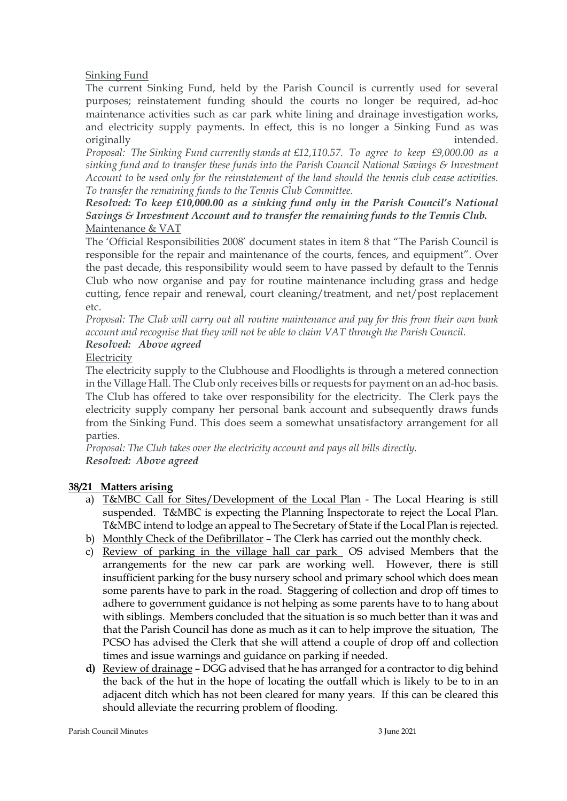# Sinking Fund

The current Sinking Fund, held by the Parish Council is currently used for several purposes; reinstatement funding should the courts no longer be required, ad-hoc maintenance activities such as car park white lining and drainage investigation works, and electricity supply payments. In effect, this is no longer a Sinking Fund as was originally **intended**.

*Proposal: The Sinking Fund currently stands at £12,110.57. To agree to keep £9,000.00 as a sinking fund and to transfer these funds into the Parish Council National Savings & Investment Account to be used only for the reinstatement of the land should the tennis club cease activities. To transfer the remaining funds to the Tennis Club Committee.*

*Resolved: To keep £10,000.00 as a sinking fund only in the Parish Council's National Savings & Investment Account and to transfer the remaining funds to the Tennis Club.* Maintenance & VAT

The 'Official Responsibilities 2008' document states in item 8 that "The Parish Council is responsible for the repair and maintenance of the courts, fences, and equipment". Over the past decade, this responsibility would seem to have passed by default to the Tennis Club who now organise and pay for routine maintenance including grass and hedge cutting, fence repair and renewal, court cleaning/treatment, and net/post replacement etc.

*Proposal: The Club will carry out all routine maintenance and pay for this from their own bank account and recognise that they will not be able to claim VAT through the Parish Council.*

#### *Resolved: Above agreed* Electricity

The electricity supply to the Clubhouse and Floodlights is through a metered connection in the Village Hall. The Club only receives bills or requests for payment on an ad-hoc basis. The Club has offered to take over responsibility for the electricity. The Clerk pays the electricity supply company her personal bank account and subsequently draws funds from the Sinking Fund. This does seem a somewhat unsatisfactory arrangement for all parties.

*Proposal: The Club takes over the electricity account and pays all bills directly. Resolved: Above agreed*

# **38/21 Matters arising**

- a) T&MBC Call for Sites/Development of the Local Plan The Local Hearing is still suspended. T&MBC is expecting the Planning Inspectorate to reject the Local Plan. T&MBC intend to lodge an appeal to The Secretary of State if the Local Plan is rejected.
- b) Monthly Check of the Defibrillator The Clerk has carried out the monthly check.
- c) Review of parking in the village hall car park OS advised Members that the arrangements for the new car park are working well. However, there is still insufficient parking for the busy nursery school and primary school which does mean some parents have to park in the road. Staggering of collection and drop off times to adhere to government guidance is not helping as some parents have to to hang about with siblings. Members concluded that the situation is so much better than it was and that the Parish Council has done as much as it can to help improve the situation, The PCSO has advised the Clerk that she will attend a couple of drop off and collection times and issue warnings and guidance on parking if needed.
- **d)** Review of drainage DGG advised that he has arranged for a contractor to dig behind the back of the hut in the hope of locating the outfall which is likely to be to in an adjacent ditch which has not been cleared for many years. If this can be cleared this should alleviate the recurring problem of flooding.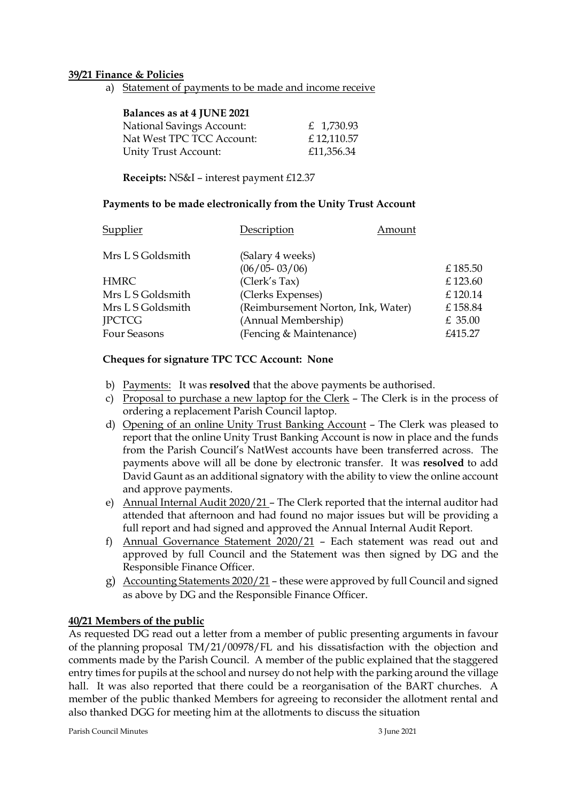### **39/21 Finance & Policies**

a) Statement of payments to be made and income receive

| Balances as at 4 JUNE 2021       |            |
|----------------------------------|------------|
| <b>National Savings Account:</b> | £ 1,730.93 |
| Nat West TPC TCC Account:        | £12,110.57 |
| Unity Trust Account:             | £11,356.34 |

**Receipts:** NS&I – interest payment £12.37

### **Payments to be made electronically from the Unity Trust Account**

| Supplier          | Description                        | Amount |           |
|-------------------|------------------------------------|--------|-----------|
| Mrs L S Goldsmith | (Salary 4 weeks)                   |        |           |
|                   | $(06/05 - 03/06)$                  |        | £185.50   |
| <b>HMRC</b>       | (Clerk's Tax)                      |        | £123.60   |
| Mrs L S Goldsmith | (Clerks Expenses)                  |        | £120.14   |
| Mrs L S Goldsmith | (Reimbursement Norton, Ink, Water) |        | £158.84   |
| <b>IPCTCG</b>     | (Annual Membership)                |        | $£$ 35.00 |
| Four Seasons      | (Fencing & Maintenance)            |        | £415.27   |

### **Cheques for signature TPC TCC Account: None**

- b) Payments: It was **resolved** that the above payments be authorised.
- c) Proposal to purchase a new laptop for the Clerk The Clerk is in the process of ordering a replacement Parish Council laptop.
- d) Opening of an online Unity Trust Banking Account The Clerk was pleased to report that the online Unity Trust Banking Account is now in place and the funds from the Parish Council's NatWest accounts have been transferred across. The payments above will all be done by electronic transfer. It was **resolved** to add David Gaunt as an additional signatory with the ability to view the online account and approve payments.
- e) Annual Internal Audit 2020/21 The Clerk reported that the internal auditor had attended that afternoon and had found no major issues but will be providing a full report and had signed and approved the Annual Internal Audit Report.
- f) Annual Governance Statement 2020/21 Each statement was read out and approved by full Council and the Statement was then signed by DG and the Responsible Finance Officer.
- g) Accounting Statements 2020/21 these were approved by full Council and signed as above by DG and the Responsible Finance Officer.

# **40/21 Members of the public**

As requested DG read out a letter from a member of public presenting arguments in favour of the planning proposal TM/21/00978/FL and his dissatisfaction with the objection and comments made by the Parish Council. A member of the public explained that the staggered entry times for pupils at the school and nursey do not help with the parking around the village hall. It was also reported that there could be a reorganisation of the BART churches. A member of the public thanked Members for agreeing to reconsider the allotment rental and also thanked DGG for meeting him at the allotments to discuss the situation

Parish Council Minutes 3 June 2021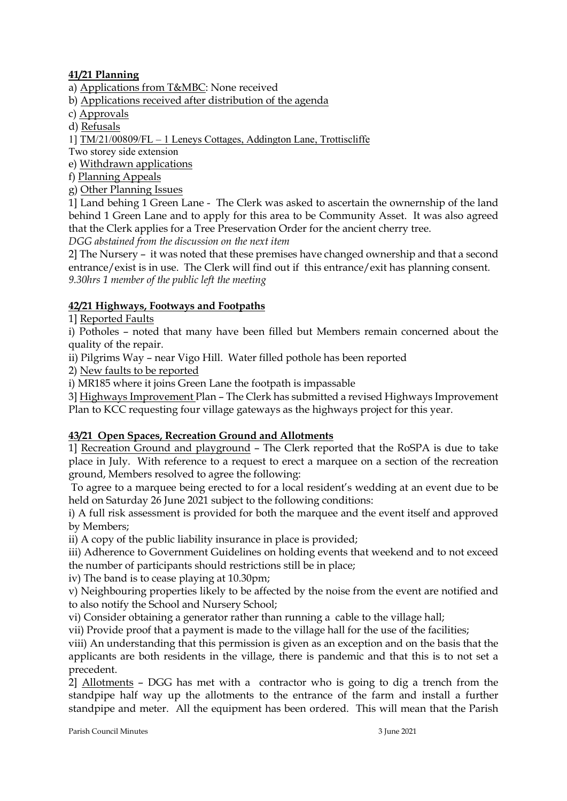# **41/21 Planning**

a) Applications from T&MBC: None received

- b) Applications received after distribution of the agenda
- c) Approvals
- d) Refusals
- 1] TM/21/00809/FL 1 Leneys Cottages, Addington Lane, Trottiscliffe

Two storey side extension

e) Withdrawn applications

f) Planning Appeals

g) Other Planning Issues

1] Land behing 1 Green Lane - The Clerk was asked to ascertain the ownernship of the land behind 1 Green Lane and to apply for this area to be Community Asset. It was also agreed that the Clerk applies for a Tree Preservation Order for the ancient cherry tree.

*DGG abstained from the discussion on the next item*

2] The Nursery – it was noted that these premises have changed ownership and that a second entrance/exist is in use. The Clerk will find out if this entrance/exit has planning consent. *9.30hrs 1 member of the public left the meeting*

# **42/21 Highways, Footways and Footpaths**

1] Reported Faults

i) Potholes – noted that many have been filled but Members remain concerned about the quality of the repair.

ii) Pilgrims Way – near Vigo Hill. Water filled pothole has been reported

2) New faults to be reported

i) MR185 where it joins Green Lane the footpath is impassable

3] Highways Improvement Plan – The Clerk has submitted a revised Highways Improvement Plan to KCC requesting four village gateways as the highways project for this year.

# **43/21 Open Spaces, Recreation Ground and Allotments**

1] Recreation Ground and playground – The Clerk reported that the RoSPA is due to take place in July. With reference to a request to erect a marquee on a section of the recreation ground, Members resolved to agree the following:

To agree to a marquee being erected to for a local resident's wedding at an event due to be held on Saturday 26 June 2021 subject to the following conditions:

i) A full risk assessment is provided for both the marquee and the event itself and approved by Members;

ii) A copy of the public liability insurance in place is provided;

iii) Adherence to Government Guidelines on holding events that weekend and to not exceed the number of participants should restrictions still be in place;

iv) The band is to cease playing at 10.30pm;

v) Neighbouring properties likely to be affected by the noise from the event are notified and to also notify the School and Nursery School;

vi) Consider obtaining a generator rather than running a cable to the village hall;

vii) Provide proof that a payment is made to the village hall for the use of the facilities;

viii) An understanding that this permission is given as an exception and on the basis that the applicants are both residents in the village, there is pandemic and that this is to not set a precedent.

2] Allotments – DGG has met with a contractor who is going to dig a trench from the standpipe half way up the allotments to the entrance of the farm and install a further standpipe and meter. All the equipment has been ordered. This will mean that the Parish